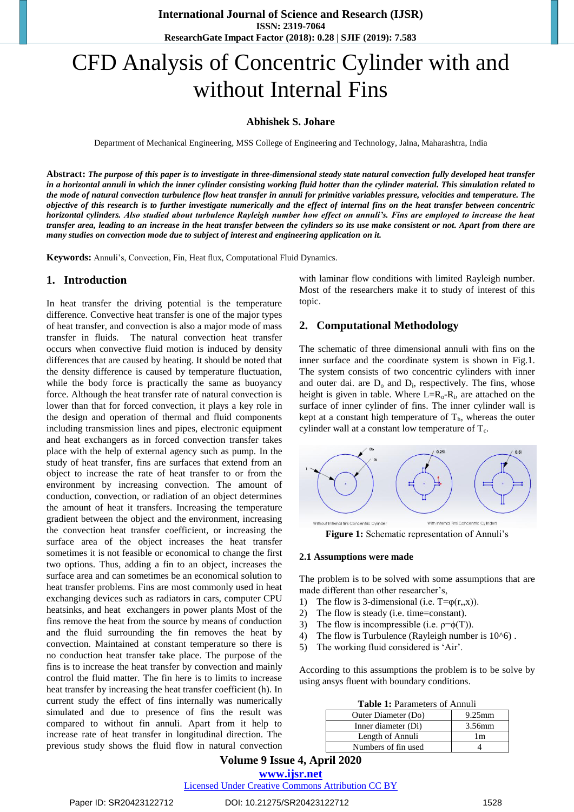# CFD Analysis of Concentric Cylinder with and without Internal Fins

#### **Abhishek S. Johare**

Department of Mechanical Engineering, MSS College of Engineering and Technology, Jalna, Maharashtra, India

**Abstract:** *The purpose of this paper is to investigate in three-dimensional steady state natural convection fully developed heat transfer in a horizontal annuli in which the inner cylinder consisting working fluid hotter than the cylinder material. This simulation related to the mode of natural convection turbulence flow heat transfer in annuli for primitive variables pressure, velocities and temperature. The objective of this research is to further investigate numerically and the effect of internal fins on the heat transfer between concentric horizontal cylinders. Also studied about turbulence Rayleigh number how effect on annuli's. Fins are employed to increase the heat transfer area, leading to an increase in the heat transfer between the cylinders so its use make consistent or not. Apart from there are many studies on convection mode due to subject of interest and engineering application on it.*

Keywords: Annuli's, Convection, Fin, Heat flux, Computational Fluid Dynamics.

#### **1. Introduction**

In heat transfer the driving potential is the temperature difference. Convective heat transfer is one of the major types of heat transfer, and convection is also a major mode of mass transfer in fluids. The natural convection heat transfer occurs when convective fluid motion is induced by density differences that are caused by heating. It should be noted that the density difference is caused by temperature fluctuation, while the body force is practically the same as buoyancy force. Although the heat transfer rate of natural convection is lower than that for forced convection, it plays a key role in the design and operation of thermal and fluid components including transmission lines and pipes, electronic equipment and heat exchangers as in forced convection transfer takes place with the help of external agency such as pump. In the study of heat transfer, fins are surfaces that extend from an object to increase the rate of heat transfer to or from the environment by increasing convection. The amount of conduction, convection, or radiation of an object determines the amount of heat it transfers. Increasing the temperature gradient between the object and the environment, increasing the convection heat transfer coefficient, or increasing the surface area of the object increases the heat transfer sometimes it is not feasible or economical to change the first two options. Thus, adding a fin to an object, increases the surface area and can sometimes be an economical solution to heat transfer problems. Fins are most commonly used in heat exchanging devices such as radiators in cars, computer CPU heatsinks, and heat exchangers in power plants Most of the fins remove the heat from the source by means of conduction and the fluid surrounding the fin removes the heat by convection. Maintained at constant temperature so there is no conduction heat transfer take place. The purpose of the fins is to increase the heat transfer by convection and mainly control the fluid matter. The fin here is to limits to increase heat transfer by increasing the heat transfer coefficient (h). In current study the effect of fins internally was numerically simulated and due to presence of fins the result was compared to without fin annuli. Apart from it help to increase rate of heat transfer in longitudinal direction. The previous study shows the fluid flow in natural convection with laminar flow conditions with limited Rayleigh number. Most of the researchers make it to study of interest of this topic.

#### **2. Computational Methodology**

The schematic of three dimensional annuli with fins on the inner surface and the coordinate system is shown in Fig.1. The system consists of two concentric cylinders with inner and outer dai. are  $D_0$  and  $D_i$ , respectively. The fins, whose height is given in table. Where  $L=R_0-R_i$ , are attached on the surface of inner cylinder of fins. The inner cylinder wall is kept at a constant high temperature of  $T<sub>h</sub>$ , whereas the outer cylinder wall at a constant low temperature of  $T_c$ .



**Figure 1:** Schematic representation of Annuli's

#### **2.1 Assumptions were made**

The problem is to be solved with some assumptions that are made different than other researcher's,

- 1) The flow is 3-dimensional (i.e.  $T = \varphi(r, x)$ ).
- 2) The flow is steady (i.e. time=constant).
- 3) The flow is incompressible (i.e.  $p = \phi(T)$ ).
- 4) The flow is Turbulence (Rayleigh number is  $10^{\circ}6$ ).
- 5) The working fluid considered is 'Air'.

According to this assumptions the problem is to be solve by using ansys fluent with boundary conditions.

| <b>Table 1:</b> Parameters of Annuli |  |
|--------------------------------------|--|
|--------------------------------------|--|

| Outer Diameter (Do) | $9.25$ mm |  |
|---------------------|-----------|--|
| Inner diameter (Di) | 3.56mm    |  |
| Length of Annuli    | 1m        |  |
| Numbers of fin used |           |  |

**Volume 9 Issue 4, April 2020**

**www.ijsr.net**

Licensed Under Creative Commons Attribution CC BY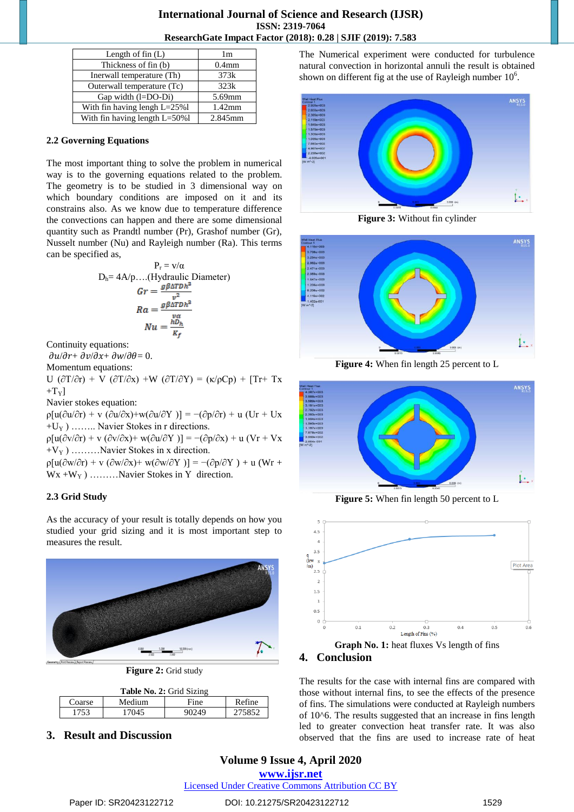#### **International Journal of Science and Research (IJSR) ISSN: 2319-7064 ResearchGate Impact Factor (2018): 0.28 | SJIF (2019): 7.583**

| Length of fin $(L)$                | 1 <sub>m</sub>    |  |
|------------------------------------|-------------------|--|
| Thickness of fin (b)               | 0.4 <sub>mm</sub> |  |
| Inerwall temperature (Th)          | 373k              |  |
| Outerwall temperature (Tc)         | 323k              |  |
| Gap width (l=DO-Di)                | 5.69mm            |  |
| With fin having lengh L=25%l       | $1.42$ mm         |  |
| With fin having length $L = 50\%1$ | 2.845mm           |  |

#### **2.2 Governing Equations**

The most important thing to solve the problem in numerical way is to the governing equations related to the problem. The geometry is to be studied in 3 dimensional way on which boundary conditions are imposed on it and its constrains also. As we know due to temperature difference the convections can happen and there are some dimensional quantity such as Prandtl number (Pr), Grashof number (Gr), Nusselt number (Nu) and Rayleigh number (Ra). This terms can be specified as,

$$
P_r = v/\alpha
$$
  
\n
$$
D_h = 4A/p....(Hydraulic Diameter)
$$
  
\n
$$
Gr = \frac{g\beta\Delta T Dh^2}{v^2}
$$
  
\n
$$
Ra = \frac{g\beta\Delta T Dh^2}{v\alpha}
$$
  
\n
$$
Nu = \frac{hD_h}{K_f}
$$

Continuity equations:

 $\partial u/\partial r + \partial v/\partial x + \partial w/\partial \theta = 0.$ 

Momentum equations: U  $(\partial T/\partial r) + V (\partial T/\partial x) + W (\partial T/\partial Y) = (\kappa/\rho Cp) + [Tr + Tx]$  $+T_{Y}$ ] Navier stokes equation:  $p[u(\partial u/\partial r) + v (\partial u/\partial x) + w(\partial u/\partial Y)] = -(\partial p/\partial r) + u (Ur + Ux)$ 

 $+U_Y$ ) …….. Navier Stokes in r directions.

 $\rho[u(\partial v/\partial r) + v (\partial v/\partial x) + w(\partial u/\partial Y)] = -(\partial p/\partial x) + u (Vr + Vx)$  $+V_{\rm Y}$ ) ………Navier Stokes in x direction.

 $p[u(\partial w/\partial r) + v (\partial w/\partial x) + w(\partial w/\partial Y)] = -(\partial p/\partial Y) + u (Wr +$  $Wx + W<sub>Y</sub>$  ) ………Navier Stokes in Y direction.

### **2.3 Grid Study**

As the accuracy of your result is totally depends on how you studied your grid sizing and it is most important step to measures the result.



**Figure 2:** Grid study

| Table No. 2: Grid Sizing |        |       |        |  |
|--------------------------|--------|-------|--------|--|
| Coarse                   | Medium | Fine  | Refine |  |
| 1753                     | 17045  | 90249 | 275852 |  |

**3. Result and Discussion**

The Numerical experiment were conducted for turbulence natural convection in horizontal annuli the result is obtained shown on different fig at the use of Rayleigh number  $10<sup>6</sup>$ .



**Figure 3:** Without fin cylinder



**Figure 4:** When fin length 25 percent to L



**Figure 5:** When fin length 50 percent to L



#### **4. Conclusion**

The results for the case with internal fins are compared with those without internal fins, to see the effects of the presence of fins. The simulations were conducted at Rayleigh numbers of 10^6. The results suggested that an increase in fins length led to greater convection heat transfer rate. It was also observed that the fins are used to increase rate of heat

## **Volume 9 Issue 4, April 2020**

**www.ijsr.net**

Licensed Under Creative Commons Attribution CC BY